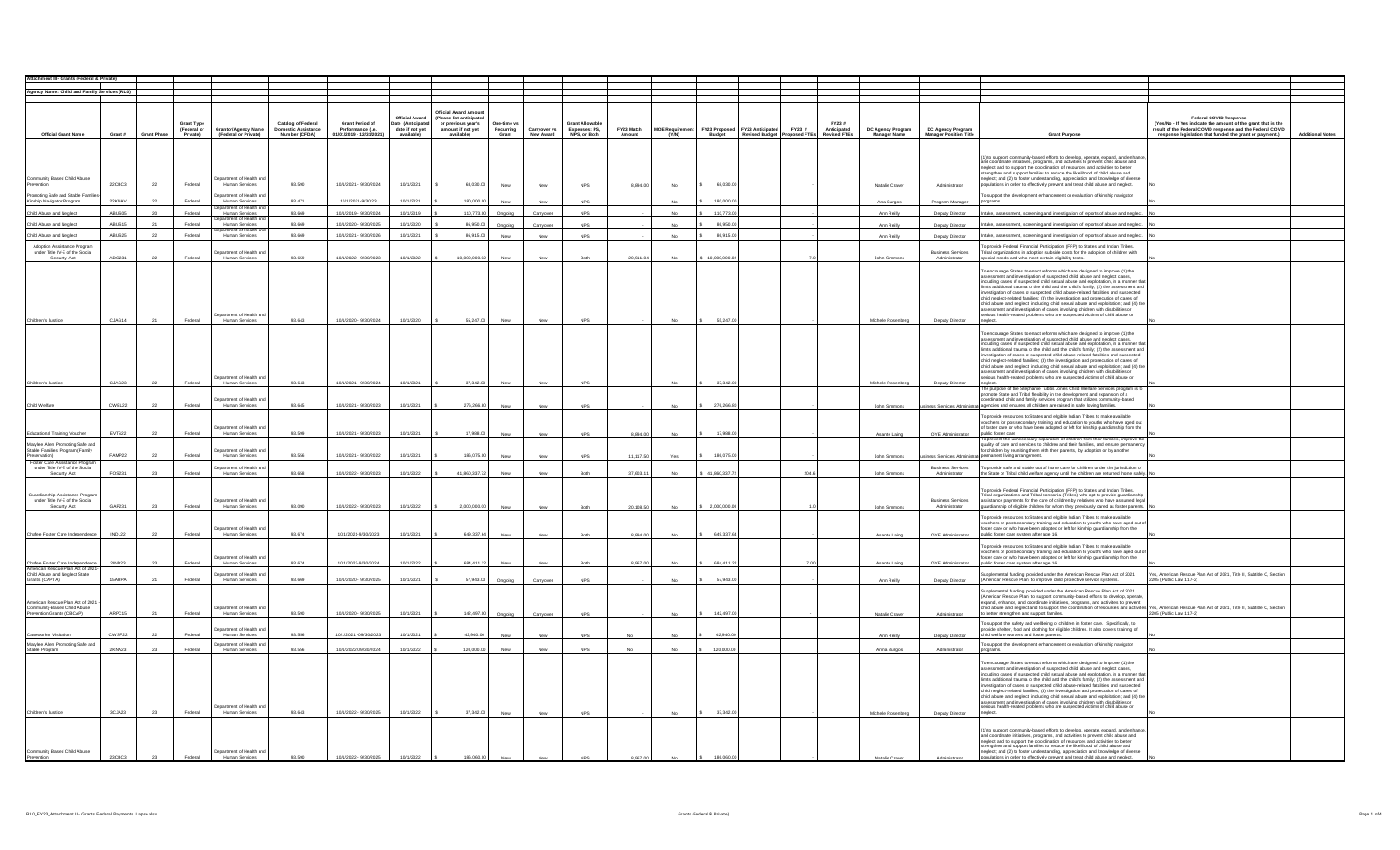| Agency Name: Child and Family Services (RL0)                                                                                     |                  |                    |                                       |                                                            |                                                                   |                                                                         |                                                                             |                                                                                                         |                                  |                                  |                                                         |                      |                                 |                       |                                                                          |                                             |                                   |                                                    |                                                                                                                                                                                                                                                                                                                                                                                                                                                                                                                                                                                                                                                                                                                                                                                                                                                              |                                                                                                                                                                                                                  |                         |
|----------------------------------------------------------------------------------------------------------------------------------|------------------|--------------------|---------------------------------------|------------------------------------------------------------|-------------------------------------------------------------------|-------------------------------------------------------------------------|-----------------------------------------------------------------------------|---------------------------------------------------------------------------------------------------------|----------------------------------|----------------------------------|---------------------------------------------------------|----------------------|---------------------------------|-----------------------|--------------------------------------------------------------------------|---------------------------------------------|-----------------------------------|----------------------------------------------------|--------------------------------------------------------------------------------------------------------------------------------------------------------------------------------------------------------------------------------------------------------------------------------------------------------------------------------------------------------------------------------------------------------------------------------------------------------------------------------------------------------------------------------------------------------------------------------------------------------------------------------------------------------------------------------------------------------------------------------------------------------------------------------------------------------------------------------------------------------------|------------------------------------------------------------------------------------------------------------------------------------------------------------------------------------------------------------------|-------------------------|
|                                                                                                                                  |                  |                    |                                       |                                                            |                                                                   |                                                                         |                                                                             |                                                                                                         |                                  |                                  |                                                         |                      |                                 |                       |                                                                          |                                             |                                   |                                                    |                                                                                                                                                                                                                                                                                                                                                                                                                                                                                                                                                                                                                                                                                                                                                                                                                                                              |                                                                                                                                                                                                                  |                         |
| <b>Official Grant Name</b>                                                                                                       | Grant #          | <b>Grant Phase</b> | Grant Type<br>(Federal or<br>Private) | Grantor/Agency Name<br>(Federal or Private)                | <b>Catalog of Federal</b><br>Domestic Assistance<br>Number (CFDA) | <b>Grant Period of</b><br>Performance (i.e.<br>01/01/2019 - 12/31/2021) | <b>Official Award</b><br>Date (Anticipated<br>date if not yet<br>available) | Official Award Amor<br>(Please list anticipate<br>or previous year's<br>amount if not yet<br>available) | One-time v<br>Recurring<br>Grant | Carryover vs<br><b>New Award</b> | <b>Grant Allowable</b><br>Expenses: PS,<br>NPS, or Both | FY23 Match<br>Amount | <b>MOE Requirement</b><br>(Y/N) | Budget                | FY23 Proposed FY23 Anticipated<br>FY23 #<br>Revised Budget Proposed FTEs | FY23#<br>Anticipated<br><b>Revised FTEs</b> | DC Agency Program<br>Manager Name | DC Agency Program<br><b>Manager Position Title</b> | <b>Grant Purpose</b>                                                                                                                                                                                                                                                                                                                                                                                                                                                                                                                                                                                                                                                                                                                                                                                                                                         | Federal COVID Response<br>(Yes/No - If Yes indicate the amount of the grant that is the<br>result of the Federal COVID response and the Federal COVID<br>response legislation that funded the grant or payment.) | <b>Additional Notes</b> |
|                                                                                                                                  |                  |                    |                                       |                                                            |                                                                   |                                                                         |                                                                             |                                                                                                         |                                  |                                  |                                                         |                      |                                 |                       |                                                                          |                                             |                                   |                                                    |                                                                                                                                                                                                                                                                                                                                                                                                                                                                                                                                                                                                                                                                                                                                                                                                                                                              |                                                                                                                                                                                                                  |                         |
| Community Based Child Abuse<br>Prevention                                                                                        | 22CBC3           | 22                 | Federal                               | partment of Health ar<br>Human Services                    | 93,590                                                            | 10/1/2021 - 9/30/2024                                                   | 10/1/2021                                                                   | 68,030.00                                                                                               | New                              | New                              | <b>NPS</b>                                              | 8,894.00             |                                 | 68,030.0              |                                                                          |                                             | Natalie Craver                    | Administrator                                      | (1) to support community-based efforts to develop, operate, expand, and enhance<br>and coordinate initiatives, programs, and activities to prevent child abuse and<br>neglect and to support the coordination of resources and activities to better<br>strengthen and support families to reduce the likelihood of child abuse and<br>neglect: and (2) to foster understanding, appreciation and knowledge of diverse<br>ulations in order to effectively prevent and treat child abuse and neglect.                                                                                                                                                                                                                                                                                                                                                         |                                                                                                                                                                                                                  |                         |
| oting Safe and Stable Fam<br>Kinship Navigator Program                                                                           | 22KNAV           | 22                 | Federal                               | artment of Health an<br>Human Services                     | 93.471                                                            | 10/1/2021-9/30/23                                                       | 10/1/2021                                                                   | 180,000.0                                                                                               |                                  |                                  | <b>NPS</b>                                              |                      |                                 | 180,000.0             |                                                                          |                                             | Ana Burgos                        | Program Manager                                    | o support the development enhancement or evaluation of kinship navigator                                                                                                                                                                                                                                                                                                                                                                                                                                                                                                                                                                                                                                                                                                                                                                                     |                                                                                                                                                                                                                  |                         |
| Child Abuse and Neglec                                                                                                           | ABUS05           | 20                 | Federal                               | ment of Health :<br><b>Human Services</b>                  | 93,669                                                            | 10/1/2019 - 9/30/2024                                                   | 10/1/2019                                                                   | 110,773.00                                                                                              | Ongoing                          | Carryover                        | <b>NPS</b>                                              |                      |                                 | 110,773.0             |                                                                          |                                             | Ann Reilly                        | Deputy Director                                    | Intake, assessment, screening and investigation of reports of abuse and neglect.                                                                                                                                                                                                                                                                                                                                                                                                                                                                                                                                                                                                                                                                                                                                                                             |                                                                                                                                                                                                                  |                         |
|                                                                                                                                  |                  | 21                 |                                       | tment of Health a                                          |                                                                   |                                                                         |                                                                             |                                                                                                         |                                  |                                  |                                                         |                      |                                 |                       |                                                                          |                                             |                                   |                                                    |                                                                                                                                                                                                                                                                                                                                                                                                                                                                                                                                                                                                                                                                                                                                                                                                                                                              |                                                                                                                                                                                                                  |                         |
| Child Abuse and Neglec                                                                                                           | ABUS15           |                    | Federal                               | <b>Human Services</b><br>ment of Health                    | 93,669                                                            | 10/1/2020 - 9/30/2025                                                   | 10/1/2020                                                                   | 86,950.00                                                                                               | Ongoin                           | Carryover                        | <b>NPS</b>                                              |                      | No                              | 86,950.0              |                                                                          |                                             | Ann Reilly                        | Deputy Director                                    | Intake, assessment, screening and investigation of reports of abuse and neglect.                                                                                                                                                                                                                                                                                                                                                                                                                                                                                                                                                                                                                                                                                                                                                                             |                                                                                                                                                                                                                  |                         |
| Child Abuse and Neglec                                                                                                           | ABUS25           | 22                 | Federal                               | Human Services                                             | 93,669                                                            | 10/1/2021 - 9/30/2026                                                   | 10/1/2021                                                                   | 86.915.00                                                                                               | New                              | New                              | <b>NPS</b>                                              |                      | No.                             | 86,915.00             |                                                                          |                                             | Ann Reilly                        | Deputy Director                                    | Intake, assessment, screening and investigation of reports of abuse and neglect.                                                                                                                                                                                                                                                                                                                                                                                                                                                                                                                                                                                                                                                                                                                                                                             |                                                                                                                                                                                                                  |                         |
| Adoption Assistance Progran                                                                                                      |                  |                    |                                       |                                                            |                                                                   |                                                                         |                                                                             |                                                                                                         |                                  |                                  |                                                         |                      |                                 |                       |                                                                          |                                             |                                   |                                                    | o provide Federal Financial Participation (FFP) to States and Indian Tribes.                                                                                                                                                                                                                                                                                                                                                                                                                                                                                                                                                                                                                                                                                                                                                                                 |                                                                                                                                                                                                                  |                         |
| under Title IV-E of the Social                                                                                                   |                  |                    |                                       | epartment of Health an                                     |                                                                   |                                                                         |                                                                             |                                                                                                         |                                  |                                  |                                                         |                      |                                 |                       |                                                                          |                                             |                                   | <b>Business Services</b>                           | Tribal organizations in adoption subside costs for the adoption of children with                                                                                                                                                                                                                                                                                                                                                                                                                                                                                                                                                                                                                                                                                                                                                                             |                                                                                                                                                                                                                  |                         |
| Security Act                                                                                                                     | ADO231           | 22                 | Federal                               | Human Services                                             | 93.659                                                            | 10/1/2022 - 9/30/2023                                                   | 10/1/2022                                                                   | 10,000,000.02                                                                                           | New                              | New                              | Both                                                    | 20,911.04            | No                              | \$10,000,000.02       |                                                                          |                                             | John Simmons                      | Administrator                                      | special needs and who meet certain eligibility tests.                                                                                                                                                                                                                                                                                                                                                                                                                                                                                                                                                                                                                                                                                                                                                                                                        |                                                                                                                                                                                                                  |                         |
| Children's Justice                                                                                                               | CJAG14           |                    | Federal                               | Department of Health a<br>Human Services                   | 93.643                                                            | 10/1/2020 - 9/30/2024                                                   | 10/1/2020                                                                   | 55,247.00                                                                                               | New                              | New                              | <b>NPS</b>                                              |                      | No.                             | 55,247.00             |                                                                          |                                             | Michele Rosenberg                 | Deputy Director                                    | To encourage States to enact reforms which are designed to improve (1) the<br>assessment and investigation of suspected child abuse and neglect cases,<br>including cases of suspected child sexual abuse and exploitation, in a manner that<br>limits additional trauma to the child and the child's family; (2) the assessment and<br>investigation of cases of suspected child abuse-related fatalities and suspected<br>child neglect-related families: (3) the investigation and prosecution of cases of<br>child abuse and neglect, including child sexual abuse and exploitation; and (4) the<br>assessment and investigation of cases involving children with disabilities or<br>rious health-related problems who are suspected victims of child abuse or<br>neglect.<br>To encourage States to enact reforms which are designed to improve (1) the |                                                                                                                                                                                                                  |                         |
| Children's Justice                                                                                                               | CJAG23           | 22                 | Federal                               | epartment of Health an<br>Human Services                   | 93,643                                                            | 10/1/2021 - 9/30/2024                                                   | 10/1/2021                                                                   | 37.342.00                                                                                               | New                              | New                              | <b>NPS</b>                                              |                      | No                              | 37,342.00             |                                                                          |                                             | Michele Rosenberg                 | Deputy Director                                    | assessment and investigation of suspected child abuse and neglect cases,<br>including cases of suspected child sexual abuse and exploitation, in a manner that<br>limits additional trauma to the child and the child's family; (2) the assessment and<br>investigation of cases of suspected child abuse-related fatalities and suspected<br>child neglect-related families; (3) the investigation and prosecution of cases of<br>child abuse and neglect, including child sexual abuse and exploitation; and (4) th<br>assessment and investigation of cases involving children with disabilities or serious health-related problems who are suspected victims of child abuse or<br>neglect.                                                                                                                                                               |                                                                                                                                                                                                                  |                         |
|                                                                                                                                  |                  |                    |                                       |                                                            |                                                                   |                                                                         |                                                                             |                                                                                                         |                                  |                                  |                                                         |                      |                                 |                       |                                                                          |                                             |                                   |                                                    | The purpose of the Stephanie Tubbs Jones Child Welfare Services program is t<br>promote State and Tribal flexibility in the development and expansion of a                                                                                                                                                                                                                                                                                                                                                                                                                                                                                                                                                                                                                                                                                                   |                                                                                                                                                                                                                  |                         |
|                                                                                                                                  |                  |                    |                                       | artment of Health a                                        |                                                                   |                                                                         |                                                                             |                                                                                                         |                                  |                                  |                                                         |                      |                                 |                       |                                                                          |                                             |                                   |                                                    | rdinated child and family services program that utilizes community-based                                                                                                                                                                                                                                                                                                                                                                                                                                                                                                                                                                                                                                                                                                                                                                                     |                                                                                                                                                                                                                  |                         |
| Child Welfare                                                                                                                    | CWEL22           | 22                 | Federal                               | Human Services                                             | 93.645                                                            | 10/1/2021 - 9/30/2023                                                   | 10/1/2021                                                                   | 276,266.80                                                                                              | New                              | New                              | <b>NPS</b>                                              |                      | No.                             | \$276,266.80          |                                                                          |                                             | John Simmons                      |                                                    | siness Services Administrati agencies and ensures all children are raised in safe, loving families.                                                                                                                                                                                                                                                                                                                                                                                                                                                                                                                                                                                                                                                                                                                                                          |                                                                                                                                                                                                                  |                         |
| Educational Training Voucher                                                                                                     | EVTS22           | 22                 | Federal                               | partment of Health an<br>Human Services                    | 93.599                                                            | 10/1/2021 - 9/30/2023                                                   | 10/1/2021                                                                   | 17,988.00                                                                                               | New                              | New                              | <b>NPS</b>                                              | 8 894 00             | No.                             | 17,988.0              |                                                                          |                                             | Asante Laing                      | OYE Administrator                                  | To provide resources to States and eligible Indian Tribes to make available<br>vouchers for postsecondary training and education to youths who have aged out<br>of foster care or who have been adopted or left for kinship guardianship from the<br>public foster care<br>o prevent the unnecessary separation of children from their families, improve the                                                                                                                                                                                                                                                                                                                                                                                                                                                                                                 |                                                                                                                                                                                                                  |                         |
| Marviee Allen Promoting Safe and<br>Stable Families Program (Family                                                              |                  |                    |                                       | artment of Health a                                        |                                                                   |                                                                         |                                                                             |                                                                                                         |                                  |                                  |                                                         |                      |                                 |                       |                                                                          |                                             |                                   |                                                    | quality of care and services to children and their families, and ensure permanency<br>for children by reuniting them with their parents, by adoption or by another                                                                                                                                                                                                                                                                                                                                                                                                                                                                                                                                                                                                                                                                                           |                                                                                                                                                                                                                  |                         |
| ervation)                                                                                                                        | FAMP22           | 22                 | Federal                               | Human Services                                             | 93.556                                                            | 10/1/2021 - 9/30/2022                                                   | 10/1/2021                                                                   | 186,075.00                                                                                              | New                              | New                              | <b>NPS</b>                                              | 11.117.50            |                                 | 186,075.00            |                                                                          |                                             | John Simmons                      | ss Services Admin                                  | permanent living arrangement.                                                                                                                                                                                                                                                                                                                                                                                                                                                                                                                                                                                                                                                                                                                                                                                                                                |                                                                                                                                                                                                                  |                         |
| Foster Care Assistance Progr<br>under Title IV-E of the Social                                                                   |                  |                    |                                       | epartment of Health an                                     |                                                                   |                                                                         |                                                                             |                                                                                                         |                                  |                                  |                                                         |                      |                                 |                       |                                                                          |                                             |                                   | <b>Business Services</b>                           | To provide safe and stable out of home care for children under the jurisdiction of                                                                                                                                                                                                                                                                                                                                                                                                                                                                                                                                                                                                                                                                                                                                                                           |                                                                                                                                                                                                                  |                         |
| Security Act                                                                                                                     | FOS231           | 23                 | Federal                               | Human Services                                             | 93.658                                                            | 10/1/2022 - 9/30/2023                                                   | 10/1/2022                                                                   | 41,860,337.72                                                                                           | New                              | New                              | Both                                                    | 37,603.11            |                                 | \$41,860,337.72       | 204.6                                                                    |                                             | John Simmons                      | Administrator                                      | the State or Tribal child welfare agency until the children are returned home safely. N                                                                                                                                                                                                                                                                                                                                                                                                                                                                                                                                                                                                                                                                                                                                                                      |                                                                                                                                                                                                                  |                         |
| Guardianship Assistance Progra<br>under Title IV-E of the Social<br>Security Act                                                 | GAP231           | 23                 | Federal                               | partment of Health an<br>Human Services                    | 93.090                                                            | 10/1/2022 - 9/30/2023                                                   | 10/1/2022                                                                   | 2,000,000.00                                                                                            | New                              | New                              | Both                                                    | 20.108.50            | No                              | \$2,000,000.00        |                                                                          |                                             | John Simmons                      | Business Services<br>Administrator                 | o provide Federal Financial Participation (FFP) to States and Indian Tribes.<br>Tribal organizations and Tribal consortia (Tribes) who opt to provide guardianship<br>ssistance payments for the care of children by relatives who have assumed legal<br>ardianship of eligible children for whom they previously cared as foster parents. N                                                                                                                                                                                                                                                                                                                                                                                                                                                                                                                 |                                                                                                                                                                                                                  |                         |
|                                                                                                                                  |                  |                    |                                       |                                                            |                                                                   |                                                                         |                                                                             |                                                                                                         |                                  |                                  |                                                         |                      |                                 |                       |                                                                          |                                             |                                   |                                                    | To provide resources to States and eligible Indian Tribes to make available                                                                                                                                                                                                                                                                                                                                                                                                                                                                                                                                                                                                                                                                                                                                                                                  |                                                                                                                                                                                                                  |                         |
|                                                                                                                                  |                  |                    |                                       | epartment of Health and                                    |                                                                   |                                                                         |                                                                             |                                                                                                         |                                  |                                  |                                                         |                      |                                 |                       |                                                                          |                                             |                                   |                                                    | vouchers or postsecondary training and education to youths who have aged out of the victor care or who have been adopted or left for kinship guardianship from the                                                                                                                                                                                                                                                                                                                                                                                                                                                                                                                                                                                                                                                                                           |                                                                                                                                                                                                                  |                         |
| Chafee Foster Care Independence                                                                                                  | INDL22<br>2IND23 | 22<br>23           | Federal<br>Federal                    | Human Services<br>epartment of Health an<br>Human Services | 93,674<br>93.674                                                  | 10/1/2021-9/30/2023<br>10/1/2022-9/30/2024                              | 10/1/2021<br>10/1/2022                                                      | 649,337.64<br>684,411.                                                                                  | New<br>New                       | New<br>New                       | Both<br>Both                                            | 8,894.00<br>8,967.00 | No                              | 649,337.6<br>684,411. |                                                                          |                                             | Asante Laing<br>Asante Laing      | OYE Administrator<br>OYE Administrator             | public foster care system after age 16.<br>To provide resources to States and eligible Indian Tribes to make available<br>vouchers or postsecondary training and education to youths who have aged out o<br>foster care or who have been adopted or left for kinship guardianship from the<br>public foster care system after age 16.                                                                                                                                                                                                                                                                                                                                                                                                                                                                                                                        |                                                                                                                                                                                                                  |                         |
| Chafee Foster Care Independer<br>American Rescue Plan Act of 20<br>Child Abuse and Neglect State<br>rican Rescue Plan Act of 202 |                  |                    |                                       | partment of Health a                                       |                                                                   |                                                                         |                                                                             |                                                                                                         |                                  |                                  |                                                         |                      |                                 |                       |                                                                          |                                             |                                   |                                                    | upplemental funding provided under the American Rescue Plan Act of 2021                                                                                                                                                                                                                                                                                                                                                                                                                                                                                                                                                                                                                                                                                                                                                                                      | Yes, American Rescue Plan Act of 2021, Title II, Subtitle C, Section                                                                                                                                             |                         |
| Grants (CAPTA)                                                                                                                   | 15ARPA           | 21                 | Federal                               | Human Services                                             | 93,669                                                            | 10/1/2020 - 9/30/2025                                                   | 10/1/2021                                                                   | 57,943.00                                                                                               | Ongoing                          | Carryover                        | <b>NPS</b>                                              |                      |                                 | 57,943.00             |                                                                          |                                             | Ann Reilly                        | Deputy Director                                    | (American Rescue Plan) to improve child protective service systems.                                                                                                                                                                                                                                                                                                                                                                                                                                                                                                                                                                                                                                                                                                                                                                                          | 2205 (Public Law 117-2)                                                                                                                                                                                          |                         |
| American Rescue Plan Act of 2021<br>Community-Based Child Abuse<br>Prevention Grants (CBCAP)                                     | ARPC15           |                    | Federal                               | epartment of Health ar<br>Human Services                   | 93.590                                                            | 10/1/2020 - 9/30/2025                                                   | 10/1/2021                                                                   | 142,497.0                                                                                               | Ongoing                          | Carryover                        | <b>NPS</b>                                              |                      |                                 | 142,497.0             |                                                                          |                                             | Natalie Craver                    | Administrator                                      | Supplemental funding provided under the American Rescue Plan Act of 2021<br>(American Rescue Plan) to support community-based efforts to develop, operate, expand, enhance, and coordinate initiatives, programs, and activities to prevent<br>child abuse and neglect and to support the coordination of resources and activities Yes, American Rescue Plan Act of 2021, Title II, Subtitle C, Section<br>better strengthen and support families.                                                                                                                                                                                                                                                                                                                                                                                                           | 2205 (Public Law 117-2)                                                                                                                                                                                          |                         |
| Caseworker Visitation                                                                                                            | CWSF22           | 22                 | Federal                               | artment of Health a<br>Human Services                      | 93.556                                                            | 10/1/2021 -09/30/2023                                                   | 10/1/2021                                                                   | 42,940.00                                                                                               | New                              | New                              | <b>NPS</b>                                              |                      |                                 | 42,940.0              |                                                                          |                                             | Ann Reilly                        | Deputy Director                                    | To support the safety and wellbeing of children in foster care. Specifically, to<br>vide shelter, food and clothing for eligible children. It also covers training of<br>child welfare workers and foster parents.                                                                                                                                                                                                                                                                                                                                                                                                                                                                                                                                                                                                                                           |                                                                                                                                                                                                                  |                         |
| Marylee Allen Promoting Safe and<br>Stable Program                                                                               |                  |                    |                                       | coartment of Health an                                     |                                                                   |                                                                         |                                                                             |                                                                                                         |                                  |                                  |                                                         |                      |                                 |                       |                                                                          |                                             |                                   |                                                    | To support the development enhancement or evaluation of kinship navigator                                                                                                                                                                                                                                                                                                                                                                                                                                                                                                                                                                                                                                                                                                                                                                                    |                                                                                                                                                                                                                  |                         |
|                                                                                                                                  | 2KNA23           | 23                 | Federal                               | Human Services                                             | 93.556                                                            | 10/1/2022-09/30/2024                                                    | 10/1/2022                                                                   | 120,000.00                                                                                              | New                              | New                              | <b>NPS</b>                                              | N <sub>0</sub>       | No.                             | 120,000.00            |                                                                          |                                             | Anna Burgos                       | Administrato                                       |                                                                                                                                                                                                                                                                                                                                                                                                                                                                                                                                                                                                                                                                                                                                                                                                                                                              |                                                                                                                                                                                                                  |                         |
| Children's Justice                                                                                                               | 3CJA23           | 23                 | Federal                               | epartment of Health a<br>Human Services                    | 93,643                                                            | 10/1/2022 - 9/30/2025                                                   | 10/1/2022                                                                   | 37.342.00                                                                                               | New                              | New                              | <b>NPS</b>                                              |                      | <b>No</b>                       | 37,342.00             |                                                                          |                                             | Michele Rosenberg                 | Deputy Director                                    | To encourage States to enact reforms which are designed to improve (1) the<br>assessment and investigation of suspected child abuse and neglect cases,<br>including cases of suspected child sexual abuse and exploitation, in a manner that<br>limits additional trauma to the child and the child's family; (2) the assessment and<br>investigation of cases of suspected child abuse-related fatalities and suspected<br>child neglect-related families; (3) the investigation and prosecution of cases of<br>child abuse and neglect, including child sexual abuse and exploitation; and (4) the<br>assessment and investigation of cases involving children with disabilities or<br>serious health-related problems who are suspected victims of child abuse or<br>neglect.                                                                             |                                                                                                                                                                                                                  |                         |
| Community Based Child Abuse<br>Prevention                                                                                        | 23CBC3           | 23                 | Federal                               | Department of Health and<br>Human Services                 | 93.590                                                            | 10/1/2022 - 9/30/2025                                                   | 10/1/2022                                                                   |                                                                                                         |                                  |                                  |                                                         | 8.967.00             |                                 | 186,060               |                                                                          |                                             |                                   |                                                    | (1) to support community-based efforts to develop, operate, expand, and enhance<br>and coordinate initiatives, programs, and activities to prevent child abuse and<br>neglect and to support the coordination of resources and activities to better.<br>strengthen and support families to reduce the likelihood of child abuse and<br>neglect: and (2) to foster understanding, appreciation and knowledge of diverse<br>ulations in order to effectively prevent and treat child abuse and neglect.                                                                                                                                                                                                                                                                                                                                                        |                                                                                                                                                                                                                  |                         |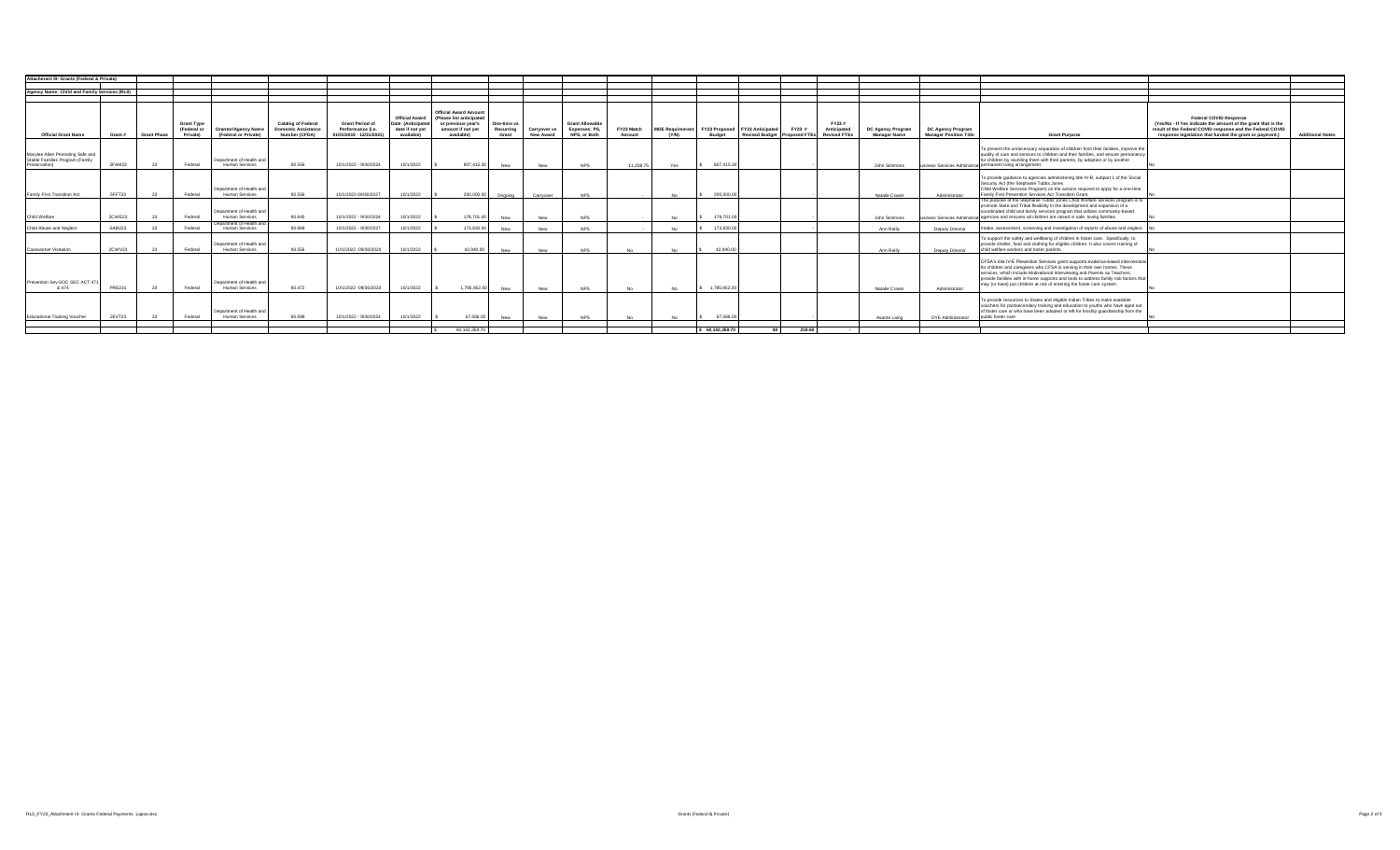| Attachment III- Grants (Federal & Private)                                           |               |                    |                                              |                                                    |                                                                          |                                                                         |                                                                             |                                                                                                                   |                                   |                                  |                                                         |                      |                                 |                 |                                |        |                                                                    |                                   |                                                           |                                                                                                                                                                                                                                                                                                                                                                                                                |                                                                                                                                                                                                                         |                         |
|--------------------------------------------------------------------------------------|---------------|--------------------|----------------------------------------------|----------------------------------------------------|--------------------------------------------------------------------------|-------------------------------------------------------------------------|-----------------------------------------------------------------------------|-------------------------------------------------------------------------------------------------------------------|-----------------------------------|----------------------------------|---------------------------------------------------------|----------------------|---------------------------------|-----------------|--------------------------------|--------|--------------------------------------------------------------------|-----------------------------------|-----------------------------------------------------------|----------------------------------------------------------------------------------------------------------------------------------------------------------------------------------------------------------------------------------------------------------------------------------------------------------------------------------------------------------------------------------------------------------------|-------------------------------------------------------------------------------------------------------------------------------------------------------------------------------------------------------------------------|-------------------------|
|                                                                                      |               |                    |                                              |                                                    |                                                                          |                                                                         |                                                                             |                                                                                                                   |                                   |                                  |                                                         |                      |                                 |                 |                                |        |                                                                    |                                   |                                                           |                                                                                                                                                                                                                                                                                                                                                                                                                |                                                                                                                                                                                                                         |                         |
| Agency Name: Child and Family Services (RL0)                                         |               |                    |                                              |                                                    |                                                                          |                                                                         |                                                                             |                                                                                                                   |                                   |                                  |                                                         |                      |                                 |                 |                                |        |                                                                    |                                   |                                                           |                                                                                                                                                                                                                                                                                                                                                                                                                |                                                                                                                                                                                                                         |                         |
|                                                                                      |               |                    |                                              |                                                    |                                                                          |                                                                         |                                                                             |                                                                                                                   |                                   |                                  |                                                         |                      |                                 |                 |                                |        |                                                                    |                                   |                                                           |                                                                                                                                                                                                                                                                                                                                                                                                                |                                                                                                                                                                                                                         |                         |
| <b>Official Grant Name</b>                                                           | Grant #       | <b>Grant Phase</b> | <b>Grant Type</b><br>(Federal or<br>Private) | <b>Grantor/Agency Name</b><br>(Federal or Private) | <b>Catalog of Federal</b><br><b>Domestic Assistance</b><br>Number (CFDA) | <b>Grant Period of</b><br>Performance (i.e.<br>01/01/2019 - 12/31/2021) | <b>Official Award</b><br>Date (Anticipated<br>date if not vet<br>available) | <b>Official Award Amount</b><br>(Please list anticipated<br>or previous year's<br>amount if not yet<br>available) | One-time vs<br>Recurring<br>Grant | Carryover vs<br><b>New Award</b> | <b>Grant Allowable</b><br>Expenses: PS,<br>NPS, or Both | FY23 Match<br>Amount | <b>MOE Requirement</b><br>(Y/N) | <b>Budget</b>   | FY23 Proposed FY23 Anticipated | FY23 # | FY23 #<br>Anticipated<br>Revised Budget Proposed FTEs Revised FTEs | DC Agency Program<br>Manager Name | <b>DC Agency Program</b><br><b>Manager Position Title</b> | <b>Grant Purpose</b>                                                                                                                                                                                                                                                                                                                                                                                           | <b>Federal COVID Response</b><br>(Yes/No - If Yes indicate the amount of the grant that is the<br>result of the Federal COVID response and the Federal COVID<br>response legislation that funded the grant or payment.) | <b>Additional Notes</b> |
| Marylee Allen Promoting Safe and<br>Stable Families Program (Family<br>Preservation) | 2FAM23        | - 23               | Federal                                      | Department of Health and<br>Human Services         | 93,556                                                                   | 10/1/2022 - 9/30/2024                                                   | 10/1/2022                                                                   | 807.415.30                                                                                                        | New                               | New                              | <b>NPS</b>                                              | 11 208 75            | Yes                             | 807.415.30      |                                |        |                                                                    | John Simmons                      |                                                           | To prevent the unnecessary separation of children from their families, improve the<br>quality of care and services to children and their families, and ensure permanency<br>for children by reuniting them with their parents, by adoption or by another<br>usiness Services Administrati permanent living arrangement.                                                                                        |                                                                                                                                                                                                                         |                         |
| Family First Transition Act                                                          | 5FFT23        | - 23               | Federal                                      | Department of Health and<br>Human Services         | 93.556                                                                   | 10/1/2022-09/30/2027                                                    | 10/1/2022                                                                   | 200.000.00                                                                                                        | Ongoing                           | Carrvover                        | <b>NPS</b>                                              |                      | No                              | 200,000.00      |                                |        |                                                                    | Natalie Craver                    | Administrator                                             | To provide guidance to agencies administering title IV-B, subpart 1 of the Social<br>Security Act (the Stephanie Tubbs Jones<br>Child Welfare Services Program) on the actions required to apply for a one-time<br>Family First Prevention Services Act Transition Grant.                                                                                                                                      |                                                                                                                                                                                                                         |                         |
| Child Welfare                                                                        | 2CWE23        | - 23               | Federal                                      | Department of Health and<br>Human Services         | 93 645                                                                   | 10/1/2022 - 9/30/2024                                                   | 10/1/2022                                                                   | 178,701.00                                                                                                        | New                               | New                              | <b>NPS</b>                                              |                      |                                 | 178,701.0       |                                |        |                                                                    | John Simmons                      |                                                           | The purpose of the Stephanie Tubbs Jones Child Welfare Services program is to<br>promote State and Tribal flexibility in the development and expansion of a<br>coordinated child and family services program that utilizes community-based<br>usiness Services Administrati agencies and ensures all children are raised in safe, loving families.                                                             |                                                                                                                                                                                                                         |                         |
| Child Abuse and Neglect                                                              | 5ABL123       |                    | Federal                                      | Department of Health and<br>Human Services         | 93.669                                                                   | 10/1/2022 - 9/30/2027                                                   | 10/1/2022                                                                   | 173 830 00                                                                                                        | New                               | New                              | <b>NPS</b>                                              |                      |                                 | 173,830.00      |                                |        |                                                                    | Ann Reilly                        | Deputy Director                                           | Intake, assessment, screening and investigation of reports of abuse and neglect.                                                                                                                                                                                                                                                                                                                               |                                                                                                                                                                                                                         |                         |
| Caseworker Visitation                                                                | 2CWV23        | 23                 | Federal                                      | Department of Health and<br>Human Services         | 93.556                                                                   | 10/1/2022 -09/30/2024                                                   | 10/1/2022                                                                   | 42.940.00                                                                                                         | New                               | New                              | <b>NPS</b>                                              | N <sub>0</sub>       |                                 | 42,940.00       |                                |        |                                                                    | Ann Reilly                        | Deputy Director                                           | To support the safety and wellbeing of children in foster care. Specifically, to<br>provide shelter, food and clothing for eligible children. It also covers training of<br>child welfare workers and foster parents.                                                                                                                                                                                          |                                                                                                                                                                                                                         |                         |
| Prevention Sev-SOC SEC ACT 471<br>& 474                                              | <b>PRE231</b> | 23                 | Federal                                      | Department of Health and<br>Human Services         | 93.472                                                                   | 10/1/2022 -09/30/2023                                                   | 10/1/2022                                                                   | 1.785.952.00                                                                                                      | New                               | New                              | <b>NPS</b>                                              | <b>No</b>            |                                 | 1,785,952.00    |                                |        |                                                                    | Natalie Crayer                    | Administrator                                             | CFSA's title IV-E Prevention Services grant supports evidence-based interventions<br>for children and caregivers who CFSA is serving in their own homes. These<br>services, which include Motivational Interviewing and Parents as Teachers,<br>provide families with in-home supports and tools to address family risk factors that<br>may (or have) put children at risk of entering the foster care system. |                                                                                                                                                                                                                         |                         |
| Educational Training Voucher                                                         | 2EVT23        | 23                 | Federal                                      | Department of Health and<br>Human Services         | 93.599                                                                   | 10/1/2022 - 9/30/2024                                                   | 10/1/2022                                                                   | 67.066.00                                                                                                         | New                               | New                              | <b>NPS</b>                                              | No.                  | No.                             | 67.066.00       |                                |        |                                                                    | Asante Laing                      | OYE Administrator                                         | To provide resources to States and eligible Indian Tribes to make available<br>vouchers for postsecondary training and education to youths who have aged out<br>of foster care or who have been adopted or left for kinship guardianship from the<br>public foster care                                                                                                                                        |                                                                                                                                                                                                                         |                         |
|                                                                                      |               |                    |                                              |                                                    |                                                                          |                                                                         |                                                                             | 60.142.359.70                                                                                                     |                                   |                                  |                                                         |                      |                                 | \$60.142.359.70 |                                | 219.60 |                                                                    |                                   |                                                           |                                                                                                                                                                                                                                                                                                                                                                                                                |                                                                                                                                                                                                                         |                         |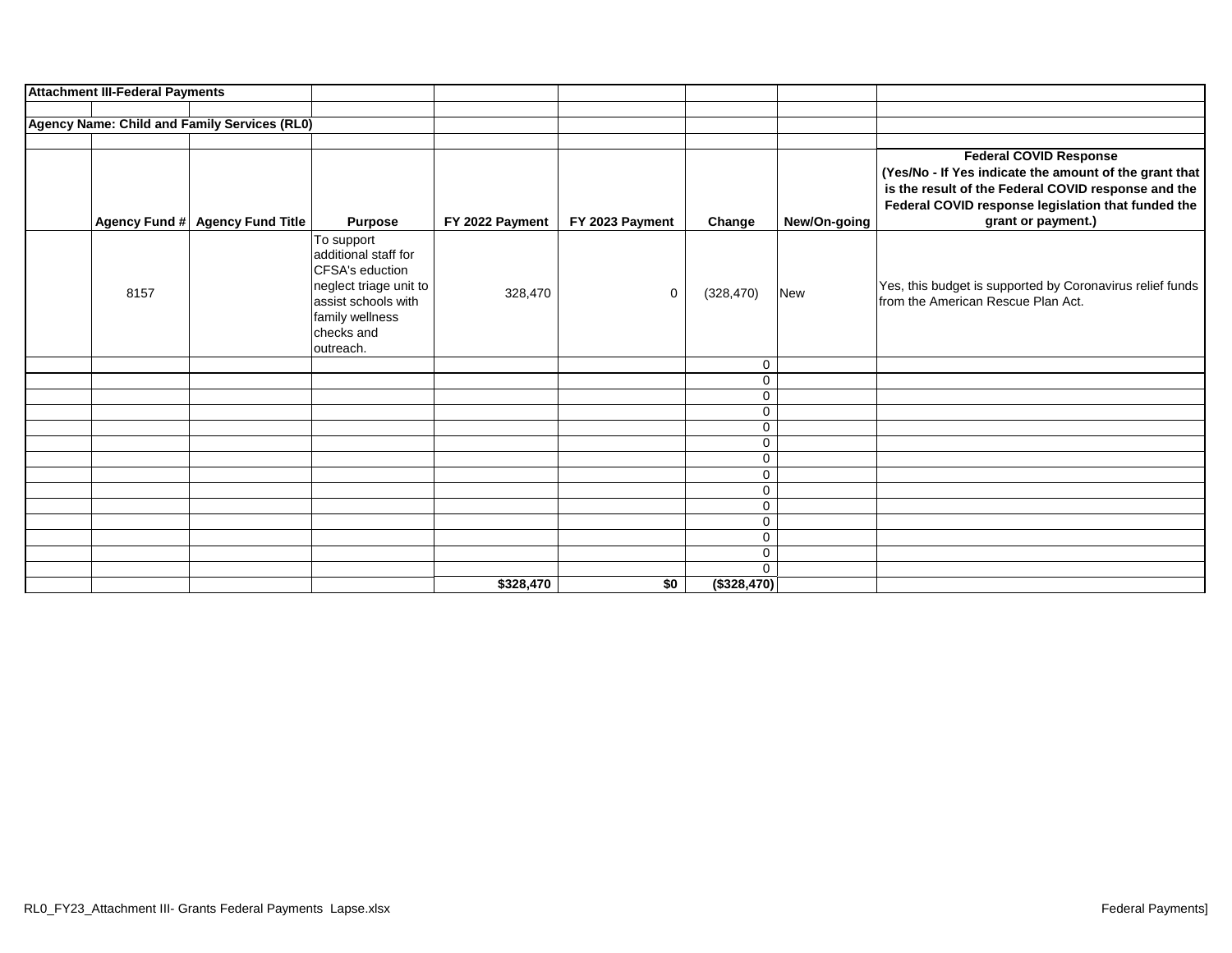| <b>Attachment III-Federal Payments</b> |                                              |                                                                                                                                                      |                 |                 |             |              |                                                                                                                                                                                                                            |
|----------------------------------------|----------------------------------------------|------------------------------------------------------------------------------------------------------------------------------------------------------|-----------------|-----------------|-------------|--------------|----------------------------------------------------------------------------------------------------------------------------------------------------------------------------------------------------------------------------|
|                                        |                                              |                                                                                                                                                      |                 |                 |             |              |                                                                                                                                                                                                                            |
|                                        | Agency Name: Child and Family Services (RL0) |                                                                                                                                                      |                 |                 |             |              |                                                                                                                                                                                                                            |
| Agency Fund #                          | <b>Agency Fund Title</b>                     | <b>Purpose</b>                                                                                                                                       | FY 2022 Payment | FY 2023 Payment | Change      | New/On-going | <b>Federal COVID Response</b><br>(Yes/No - If Yes indicate the amount of the grant that<br>is the result of the Federal COVID response and the<br>Federal COVID response legislation that funded the<br>grant or payment.) |
| 8157                                   |                                              | To support<br>additional staff for<br>CFSA's eduction<br>neglect triage unit to<br>assist schools with<br>family wellness<br>checks and<br>outreach. | 328,470         | $\mathbf 0$     | (328, 470)  | New          | Yes, this budget is supported by Coronavirus relief funds<br>from the American Rescue Plan Act.                                                                                                                            |
|                                        |                                              |                                                                                                                                                      |                 |                 | 0           |              |                                                                                                                                                                                                                            |
|                                        |                                              |                                                                                                                                                      |                 |                 | 0           |              |                                                                                                                                                                                                                            |
|                                        |                                              |                                                                                                                                                      |                 |                 | 0           |              |                                                                                                                                                                                                                            |
|                                        |                                              |                                                                                                                                                      |                 |                 | 0           |              |                                                                                                                                                                                                                            |
|                                        |                                              |                                                                                                                                                      |                 |                 | 0           |              |                                                                                                                                                                                                                            |
|                                        |                                              |                                                                                                                                                      |                 |                 | 0           |              |                                                                                                                                                                                                                            |
|                                        |                                              |                                                                                                                                                      |                 |                 | 0           |              |                                                                                                                                                                                                                            |
|                                        |                                              |                                                                                                                                                      |                 |                 | 0           |              |                                                                                                                                                                                                                            |
|                                        |                                              |                                                                                                                                                      |                 |                 | 0           |              |                                                                                                                                                                                                                            |
|                                        |                                              |                                                                                                                                                      |                 |                 | 0           |              |                                                                                                                                                                                                                            |
|                                        |                                              |                                                                                                                                                      |                 |                 | 0           |              |                                                                                                                                                                                                                            |
|                                        |                                              |                                                                                                                                                      |                 |                 | 0           |              |                                                                                                                                                                                                                            |
|                                        |                                              |                                                                                                                                                      |                 |                 | $\mathbf 0$ |              |                                                                                                                                                                                                                            |
|                                        |                                              |                                                                                                                                                      |                 |                 | $\Omega$    |              |                                                                                                                                                                                                                            |
|                                        |                                              |                                                                                                                                                      | \$328,470       | \$0             | (\$328,470) |              |                                                                                                                                                                                                                            |